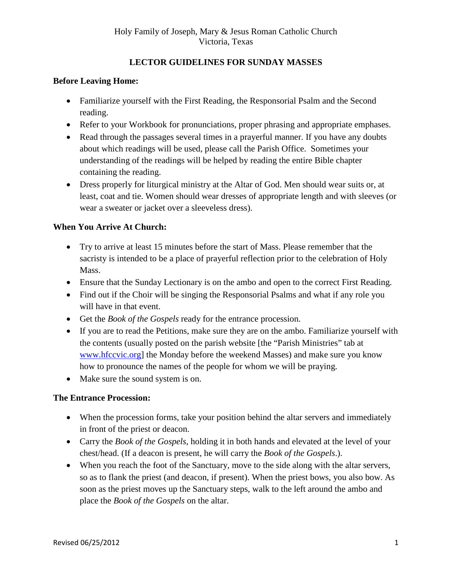# **LECTOR GUIDELINES FOR SUNDAY MASSES**

### **Before Leaving Home:**

- Familiarize yourself with the First Reading, the Responsorial Psalm and the Second reading.
- Refer to your Workbook for pronunciations, proper phrasing and appropriate emphases.
- Read through the passages several times in a prayerful manner. If you have any doubts about which readings will be used, please call the Parish Office. Sometimes your understanding of the readings will be helped by reading the entire Bible chapter containing the reading.
- Dress properly for liturgical ministry at the Altar of God. Men should wear suits or, at least, coat and tie. Women should wear dresses of appropriate length and with sleeves (or wear a sweater or jacket over a sleeveless dress).

### **When You Arrive At Church:**

- Try to arrive at least 15 minutes before the start of Mass. Please remember that the sacristy is intended to be a place of prayerful reflection prior to the celebration of Holy Mass.
- Ensure that the Sunday Lectionary is on the ambo and open to the correct First Reading.
- Find out if the Choir will be singing the Responsorial Psalms and what if any role you will have in that event.
- Get the *Book of the Gospels* ready for the entrance procession.
- If you are to read the Petitions, make sure they are on the ambo. Familiarize yourself with the contents (usually posted on the parish website [the "Parish Ministries" tab at [www.hfccvic.org\]](http://www.hfccvic.org/) the Monday before the weekend Masses) and make sure you know how to pronounce the names of the people for whom we will be praying.
- Make sure the sound system is on.

#### **The Entrance Procession:**

- When the procession forms, take your position behind the altar servers and immediately in front of the priest or deacon.
- Carry the *Book of the Gospels*, holding it in both hands and elevated at the level of your chest/head. (If a deacon is present, he will carry the *Book of the Gospels*.).
- When you reach the foot of the Sanctuary, move to the side along with the altar servers, so as to flank the priest (and deacon, if present). When the priest bows, you also bow. As soon as the priest moves up the Sanctuary steps, walk to the left around the ambo and place the *Book of the Gospels* on the altar.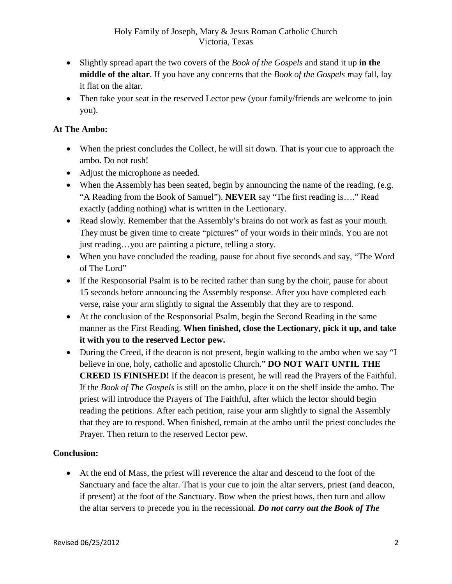- Slightly spread apart the two covers of the *Book of the Gospels* and stand it up **in the middle of the altar**. If you have any concerns that the *Book of the Gospels* may fall, lay it flat on the altar.
- Then take your seat in the reserved Lector pew (your family/friends are welcome to join you).

## **At The Ambo:**

- When the priest concludes the Collect, he will sit down. That is your cue to approach the ambo. Do not rush!
- Adjust the microphone as needed.
- When the Assembly has been seated, begin by announcing the name of the reading, (e.g. "A Reading from the Book of Samuel"). **NEVER** say "The first reading is…." Read exactly (adding nothing) what is written in the Lectionary.
- Read slowly. Remember that the Assembly's brains do not work as fast as your mouth. They must be given time to create "pictures" of your words in their minds. You are not just reading…you are painting a picture, telling a story.
- When you have concluded the reading, pause for about five seconds and say, "The Word" of The Lord"
- If the Responsorial Psalm is to be recited rather than sung by the choir, pause for about 15 seconds before announcing the Assembly response. After you have completed each verse, raise your arm slightly to signal the Assembly that they are to respond.
- At the conclusion of the Responsorial Psalm, begin the Second Reading in the same manner as the First Reading. **When finished, close the Lectionary, pick it up, and take it with you to the reserved Lector pew.**
- During the Creed, if the deacon is not present, begin walking to the ambo when we say "I believe in one, holy, catholic and apostolic Church." **DO NOT WAIT UNTIL THE CREED IS FINISHED!** If the deacon is present, he will read the Prayers of the Faithful. If the *Book of The Gospels* is still on the ambo, place it on the shelf inside the ambo. The priest will introduce the Prayers of The Faithful, after which the lector should begin reading the petitions. After each petition, raise your arm slightly to signal the Assembly that they are to respond. When finished, remain at the ambo until the priest concludes the Prayer. Then return to the reserved Lector pew.

### **Conclusion:**

• At the end of Mass, the priest will reverence the altar and descend to the foot of the Sanctuary and face the altar. That is your cue to join the altar servers, priest (and deacon, if present) at the foot of the Sanctuary. Bow when the priest bows, then turn and allow the altar servers to precede you in the recessional. *Do not carry out the Book of The*